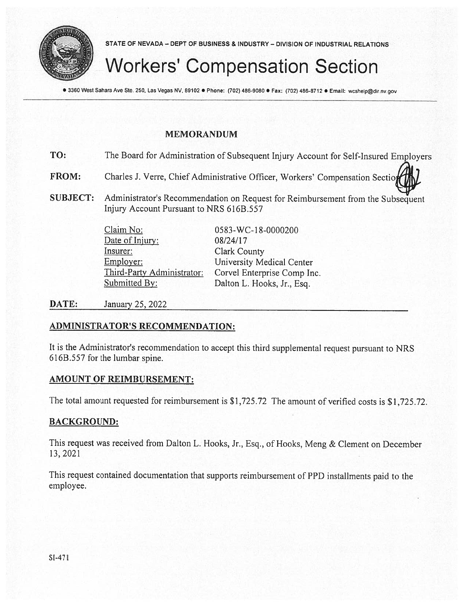

STATE OF NEVADA — DEPT OF BUSINESS & INDUSTRY — DIVISION OF INDUSTRIAL RELATIONS

## Workers' Compensation Section

● 3360 West Sahara Ave Ste. 250, Las Vegas NV, 89102 ● Phone: (702) 486-9080 ● Fax: (702) 486-8712 ● Email: wcshelp@dir.nv.gov

#### MEMORANDUM

| TO: | The Board for Administration of Subsequent Injury Account for Self-Insured Employers |  |
|-----|--------------------------------------------------------------------------------------|--|
|-----|--------------------------------------------------------------------------------------|--|

FROM: Charles J, Verre, Chief Administrative Officer, Workers' Compensation Sectio

SUBJECT: Administrator's Recommendation on Request for Reimbursement from the Subsequent Injury Account Pursuant to NRS 616B.557

> Claim No: 0583-WC-18-0000200 Date of Injury: 08/24/17 Insurer: Clark County Employer: University Medical Center Submitted By: Dalton L. Hooks, Jr., Esq.

Third-Party Administrator: Corvel Enterprise Comp Inc.

**DATE:** January 25, 2022

#### ADMINISTRATOR'S RECOMMENDATION:

It is the Administrator's recommendation to accep<sup>t</sup> this third supplemental reques<sup>t</sup> pursuan<sup>t</sup> to NRS 616B.557 for the lumbar spine.

#### AMOUNT OF REIMBURSEMENT:

The total amount requested for reimbursement is \$1,725.72 The amount of verified costs is \$1,725.72.

#### BACKGROUND:

This reques<sup>t</sup> was received from Dalton L. Hooks, Jr.. Esq., of Hooks, Meng & Clement on December 13. 2021

This reques<sup>t</sup> contained documentation that supports reimbursement of PPD installments paid to the employee.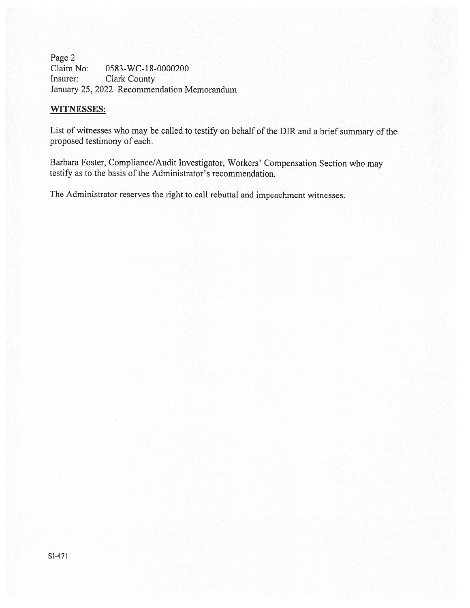Page 2 Claim No: 0583-WC-18-0000200 Insurer: Clark County January 25, 2022 Recommendation Memorandum

#### WITNESSES:

List of witnesses who may be called to testify on behalf of the DIR and <sup>a</sup> brief summary of the proposed testimony of each.

Barbara Foster, Compliance/Audit Investigator, Workers' Compensation Section who may testify as to the basis of the Administrator's recommendation.

The Administrator reserves the right to call rebuttal and impeachment witnesses.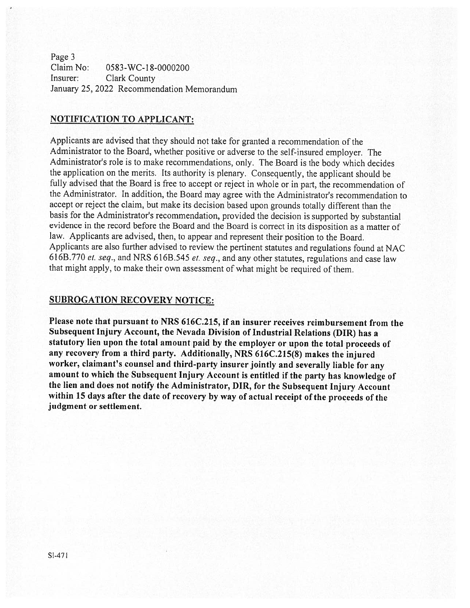Page 3 Claim No: 0583-WC-l 8-0000200 Insurer: Clark County January 25, 2022 Recommendation Memorandum

#### NOTIFICATION TO APPLICANT:

Applicants are advised that they should not take for granted <sup>a</sup> recommendation of the Administrator to the Board, whether positive or adverse to the self-insured employer. The Administrator's role is to make recommendations. only. The Board is the body which decides the application on the merits. Its authority is <sup>p</sup>lenary. Consequently, the applicant should be fully advised that the Board is free to accept or reject in whole or in part, the recommendation of the Administrator. In addition, the Board may agree with the Administrator's recommendation to accept or reject the claim, but make its decision based upon grounds totally different than the basis for the Administrator's recommendation, provided the decision is supported by substantial evidence in the record before the Board and the Board is correct in its disposition as <sup>a</sup> matter of law. Applicants are advised, then, to appear and represent their position to the Board. Applicants are also further advised to review the pertinent statutes and regulations found at NAC 616B.770 et. seq., and NRS 616B.545 et. seq., and any other statutes, regulations and case law that might apply, to make their own assessment of what might be required of them.

#### SUBROGATION RECOVERY NOTICE:

Please note that pursuant to NRS 616C.215, if an insurer receives reimbursement from the Subsequent Injury Account, the Nevada Division of Industrial Relations (DIR) has <sup>a</sup> statutory lien upon the total amount paid by the employer or upon the total proceeds of any recovery from <sup>a</sup> third party. Additionally, NRS 616C.215(8) makes the injured worker, claimant's counsel and third-party insurer jointly and severally liable for any amount to which the Subsequent Injury Account is entitled if the party has knowledge of the lien and does not notify the Administrator, DIR, for the Subsequent Injury Account within <sup>15</sup> days after the date of recovery by way of actual receipt of the proceeds of the judgment or settlement.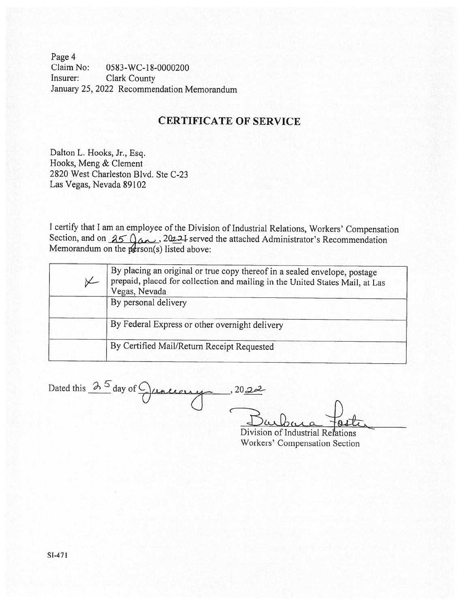Page 4 Claim No: 0583-WC-18-0000200 Insurer: Clark County January 25, 2022 Recommendation Memorandum

### CERTIFICATE OF SERVICE

Dalton L. Hooks, Jr., Esq. Hooks, Meng & Clement 2820 West Charleston Blvd. Ste C-23 Las Vegas, Nevada 89102

<sup>I</sup> certify that <sup>I</sup> am an employee of the Division of Industrial Relations, Workers' Compensation Section, and on  $350\omega$ ,  $2022\sqrt{10}$  served the attached Administrator's Recommendation Memorandum on the  $p$ erson(s) listed above:

| By placing an original or true copy thereof in a sealed envelope, postage<br>prepaid, placed for collection and mailing in the United States Mail, at Las<br>Vegas, Nevada |
|----------------------------------------------------------------------------------------------------------------------------------------------------------------------------|
| By personal delivery                                                                                                                                                       |
| By Federal Express or other overnight delivery                                                                                                                             |
| By Certified Mail/Return Receipt Requested                                                                                                                                 |
|                                                                                                                                                                            |

Dated this  $\frac{\lambda^{5}}{2}$  day of  $\bigcirc$  cancerny, 2022

Division of Industrial Relations Workers' Compensation Section